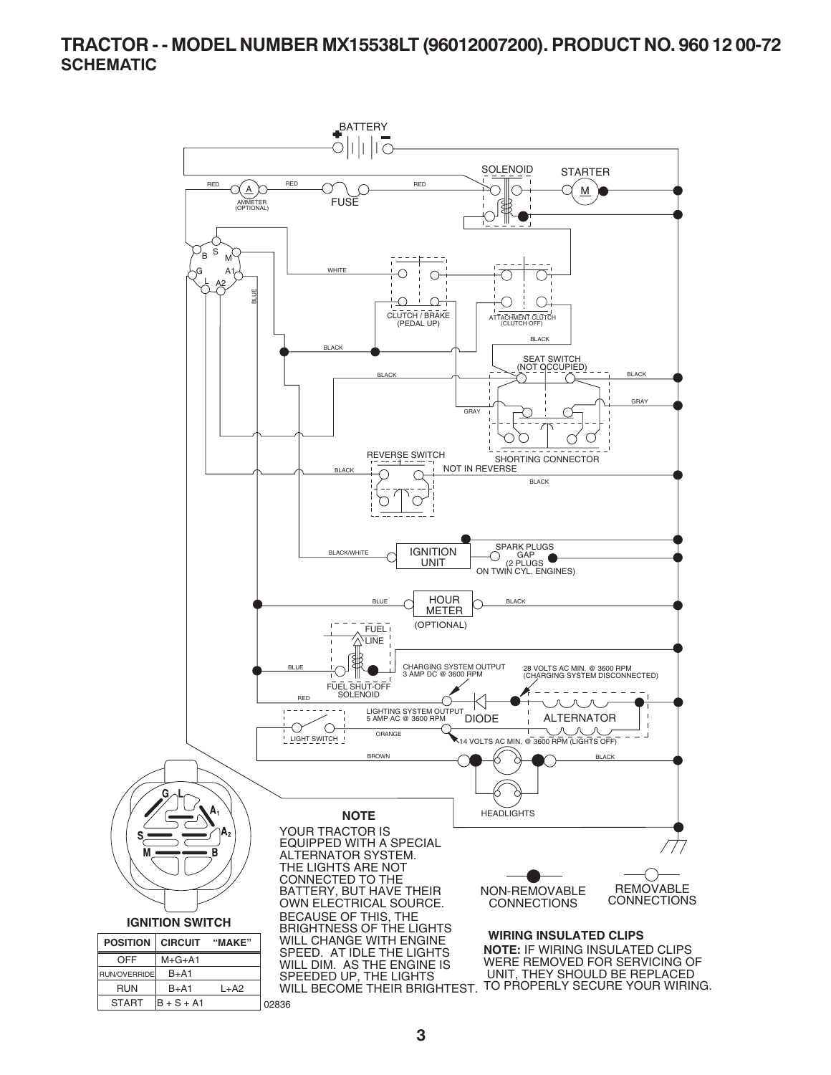### **TRACTOR - - MODEL NUMBER MX15538LT (96012007200). PRODUCT NO. 960 12 00-72 SCHEMATIC**

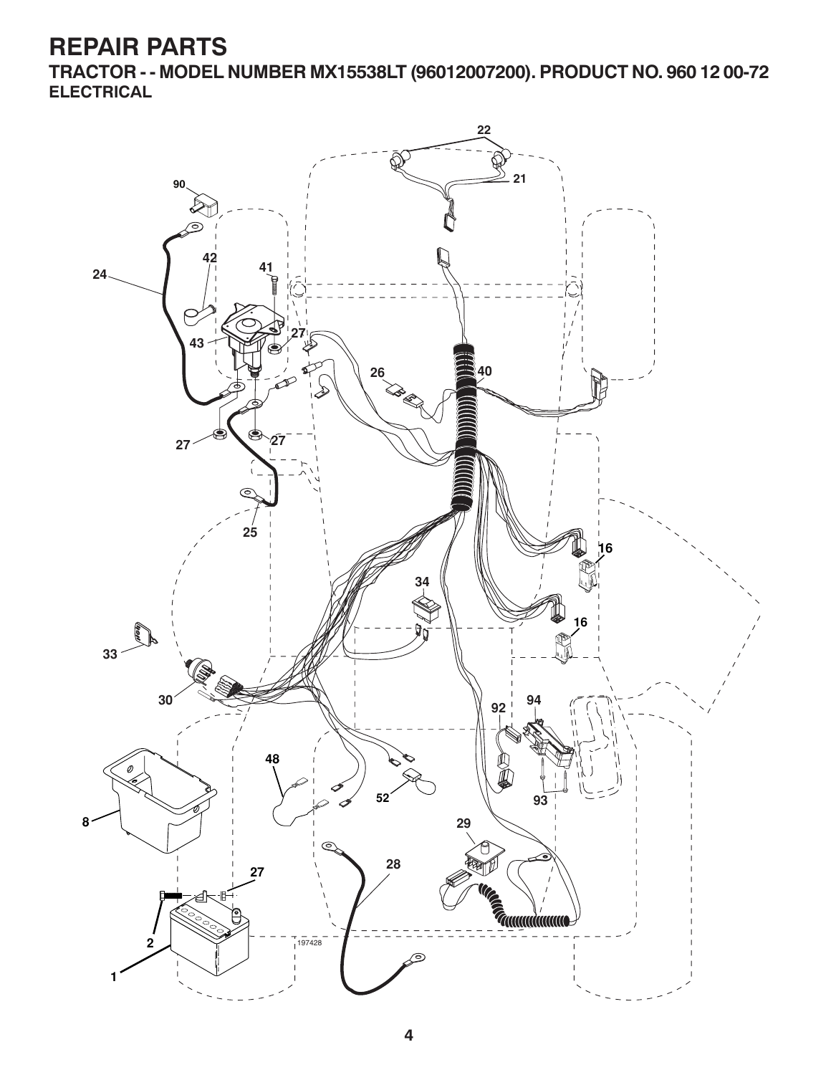**TRACTOR - - MODEL NUMBER MX15538LT (96012007200). PRODUCT NO. 960 12 00-72 ELECTRICAL**

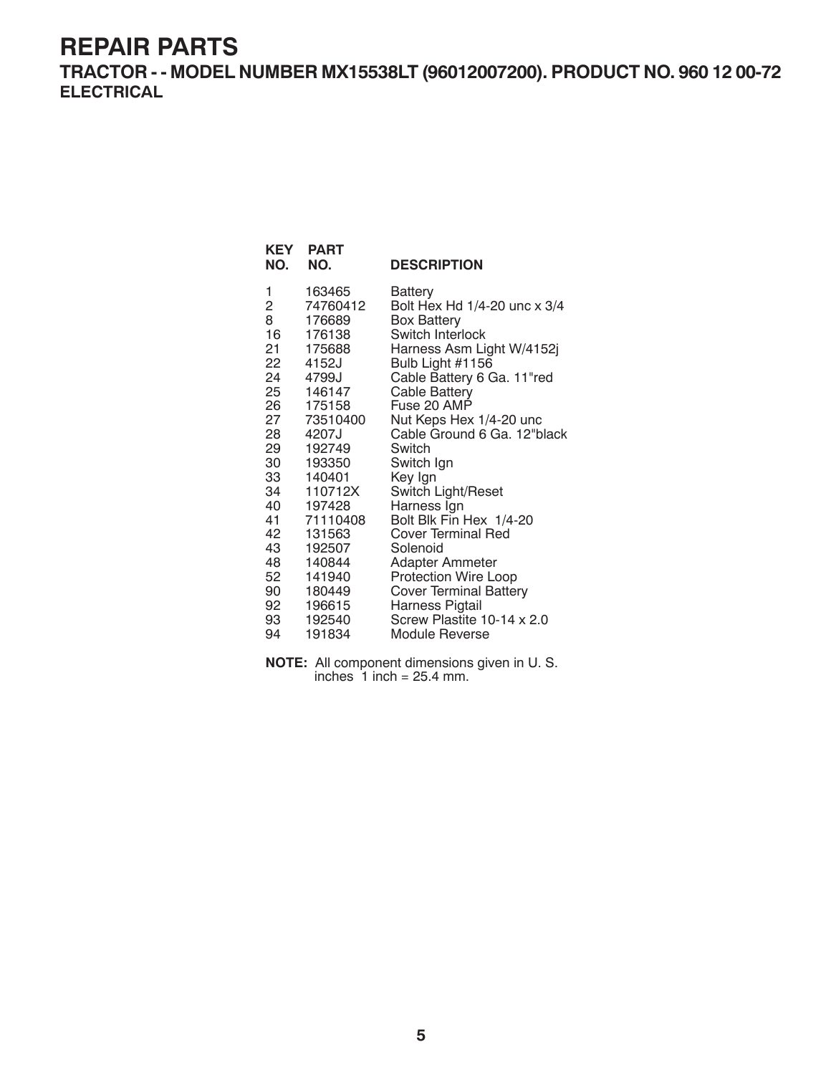**TRACTOR - - MODEL NUMBER MX15538LT (96012007200). PRODUCT NO. 960 12 00-72 ELECTRICAL**

| KEY<br>NO.     | <b>PART</b><br>NO. | <b>DESCRIPTION</b>            |
|----------------|--------------------|-------------------------------|
| 1              | 163465             | Battery                       |
| $\overline{c}$ | 74760412           | Bolt Hex Hd 1/4-20 unc x 3/4  |
| 8              | 176689             | <b>Box Battery</b>            |
| 16             | 176138             | Switch Interlock              |
| 21             | 175688             | Harness Asm Light W/4152j     |
|                | 22 4152J           | Bulb Light #1156              |
| 24             | 4799J              | Cable Battery 6 Ga. 11"red    |
| 25             | 146147             | Cable Battery                 |
| 26 —           | 175158             | Fuse 20 AMP                   |
| 27             | 73510400           | Nut Keps Hex 1/4-20 unc       |
| 28             | 4207J              | Cable Ground 6 Ga. 12"black   |
| 29             | 192749             | Switch                        |
| 30             | 193350             | Switch Ign                    |
| 33             | 140401             | Key Ign                       |
| 34             | 110712X            | Switch Light/Reset            |
| 40             | 197428             | Harness Ign                   |
| 41             | 71110408           | Bolt Blk Fin Hex 1/4-20       |
| 42             | 131563             | <b>Cover Terminal Red</b>     |
| 43             | 192507             | Solenoid                      |
| 48             | 140844             | <b>Adapter Ammeter</b>        |
| 52             | 141940             | Protection Wire Loop          |
| 90             | 180449             | <b>Cover Terminal Battery</b> |
| 92             | 196615             | Harness Pigtail               |
| 93             | 192540             | Screw Plastite 10-14 x 2.0    |
| 94             | 191834             | Module Reverse                |

**NOTE:** All component dimensions given in U. S. inches  $1$  inch = 25.4 mm.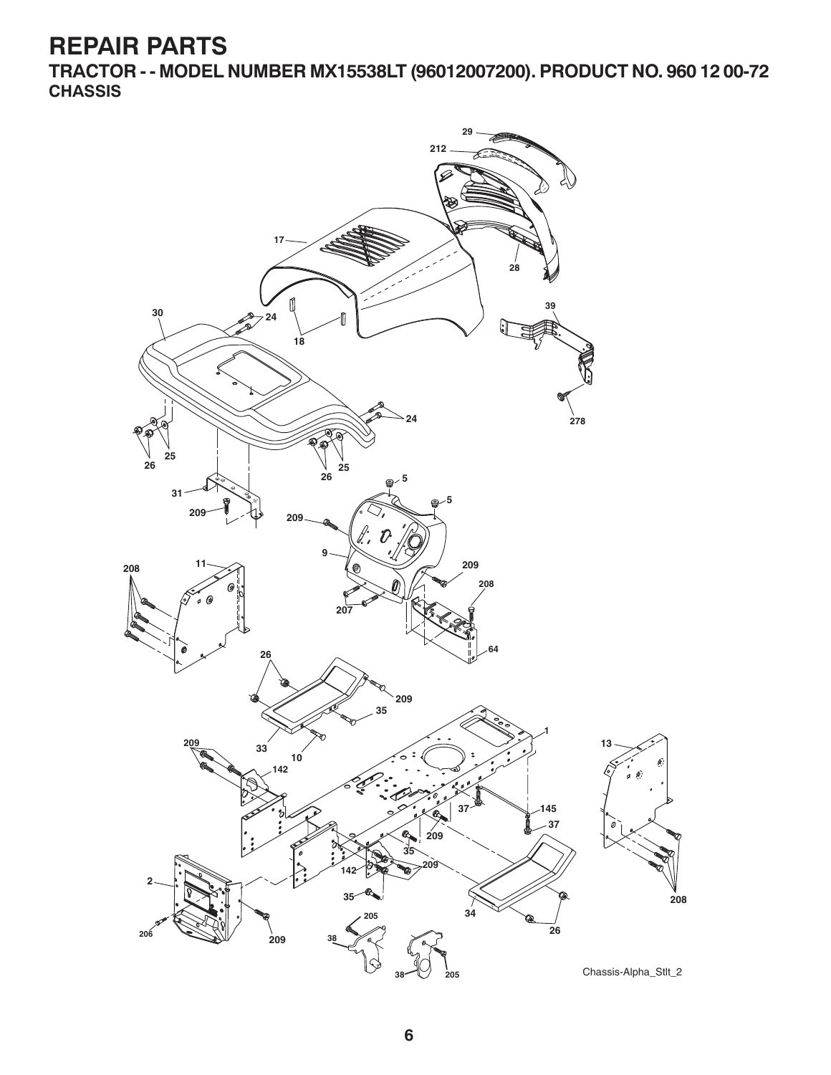**TRACTOR - - MODEL NUMBER MX15538LT (96012007200). PRODUCT NO. 960 12 00-72 CHASSIS**

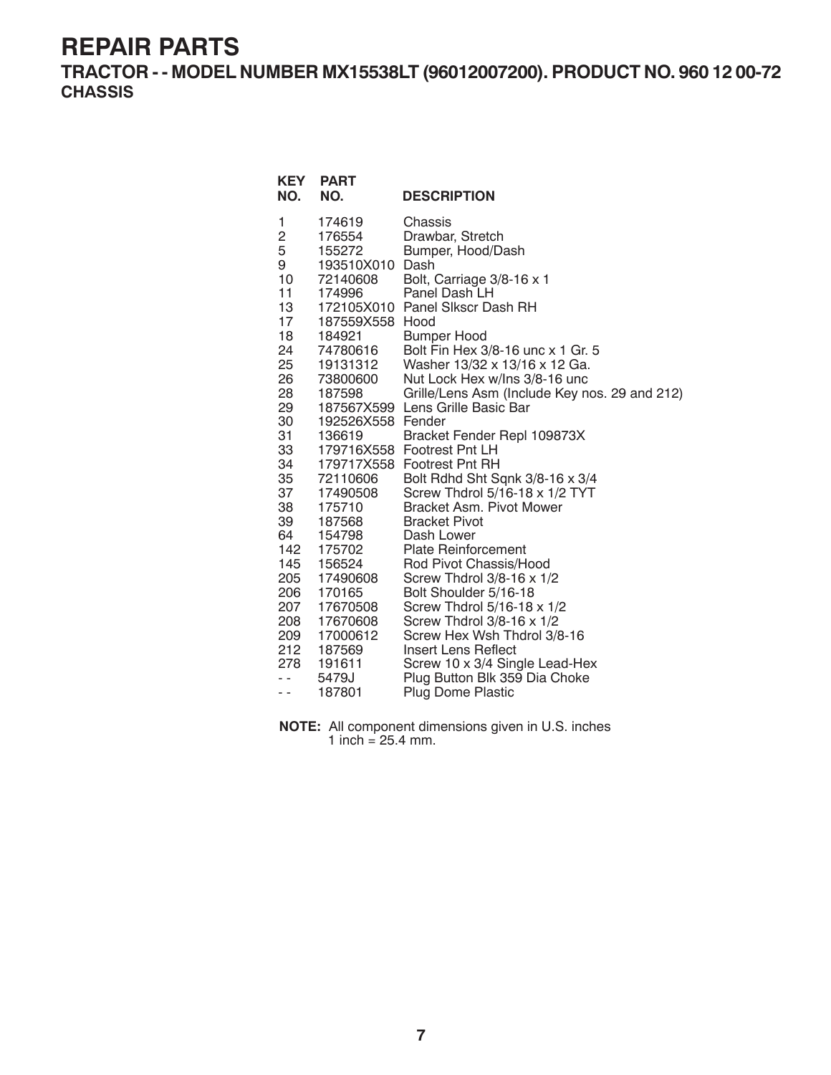**TRACTOR - - MODEL NUMBER MX15538LT (96012007200). PRODUCT NO. 960 12 00-72 CHASSIS**

| <b>KEY</b><br>NO.                                                                                                                                                                                                | <b>PART</b><br>NO.                                                                                                                                                                                                                                                                                                                                  | <b>DESCRIPTION</b>                                                                                                                                                                                                                                                                                                                                                                                                                                                                                                                                                                                                                                                                                                                                                                                                                                                                                                                 |
|------------------------------------------------------------------------------------------------------------------------------------------------------------------------------------------------------------------|-----------------------------------------------------------------------------------------------------------------------------------------------------------------------------------------------------------------------------------------------------------------------------------------------------------------------------------------------------|------------------------------------------------------------------------------------------------------------------------------------------------------------------------------------------------------------------------------------------------------------------------------------------------------------------------------------------------------------------------------------------------------------------------------------------------------------------------------------------------------------------------------------------------------------------------------------------------------------------------------------------------------------------------------------------------------------------------------------------------------------------------------------------------------------------------------------------------------------------------------------------------------------------------------------|
| 1<br>2<br>5<br>9<br>10<br>11<br>13<br>17<br>18<br>24<br>25<br>26<br>28<br>29<br>30<br>31<br>33<br>34<br>35<br>37<br>38<br>39<br>64<br>142<br>145<br>205<br>206<br>207<br>208<br>209<br>212<br>278<br>$ -$<br>- - | 174619<br>176554<br>155272<br>193510X010<br>72140608<br>174996<br>187559X558 Hood<br>184921<br>74780616<br>19131312<br>73800600<br>187598<br>192526X558 Fender<br>136619<br>72110606<br>17490508<br>175710<br>187568<br>154798<br>175702<br>156524<br>17490608<br>170165<br>17670508<br>17670608<br>17000612<br>187569<br>191611<br>5479J<br>187801 | Chassis<br>Drawbar, Stretch<br>Bumper, Hood/Dash<br>Dash<br>Bolt, Carriage 3/8-16 x 1<br>Panel Dash LH<br>172105X010 Panel Slkscr Dash RH<br><b>Bumper Hood</b><br>Bolt Fin Hex 3/8-16 unc x 1 Gr. 5<br>Washer 13/32 x 13/16 x 12 Ga.<br>Nut Lock Hex w/Ins 3/8-16 unc<br>Grille/Lens Asm (Include Key nos. 29 and 212)<br>187567X599 Lens Grille Basic Bar<br>Bracket Fender Repl 109873X<br>179716X558 Footrest Pnt LH<br>179717X558 Footrest Pnt RH<br>Bolt Rdhd Sht Sqnk 3/8-16 x 3/4<br>Screw Thdrol 5/16-18 x 1/2 TYT<br><b>Bracket Asm. Pivot Mower</b><br><b>Bracket Pivot</b><br>Dash Lower<br><b>Plate Reinforcement</b><br>Rod Pivot Chassis/Hood<br>Screw Thdrol $3/8-16 \times 1/2$<br>Bolt Shoulder 5/16-18<br>Screw Thdrol 5/16-18 x 1/2<br>Screw Thdrol 3/8-16 x 1/2<br>Screw Hex Wsh Thdrol 3/8-16<br>Insert Lens Reflect<br>Screw 10 x 3/4 Single Lead-Hex<br>Plug Button Blk 359 Dia Choke<br>Plug Dome Plastic |

**NOTE:** All component dimensions given in U.S. inches 1 inch =  $25.4$  mm.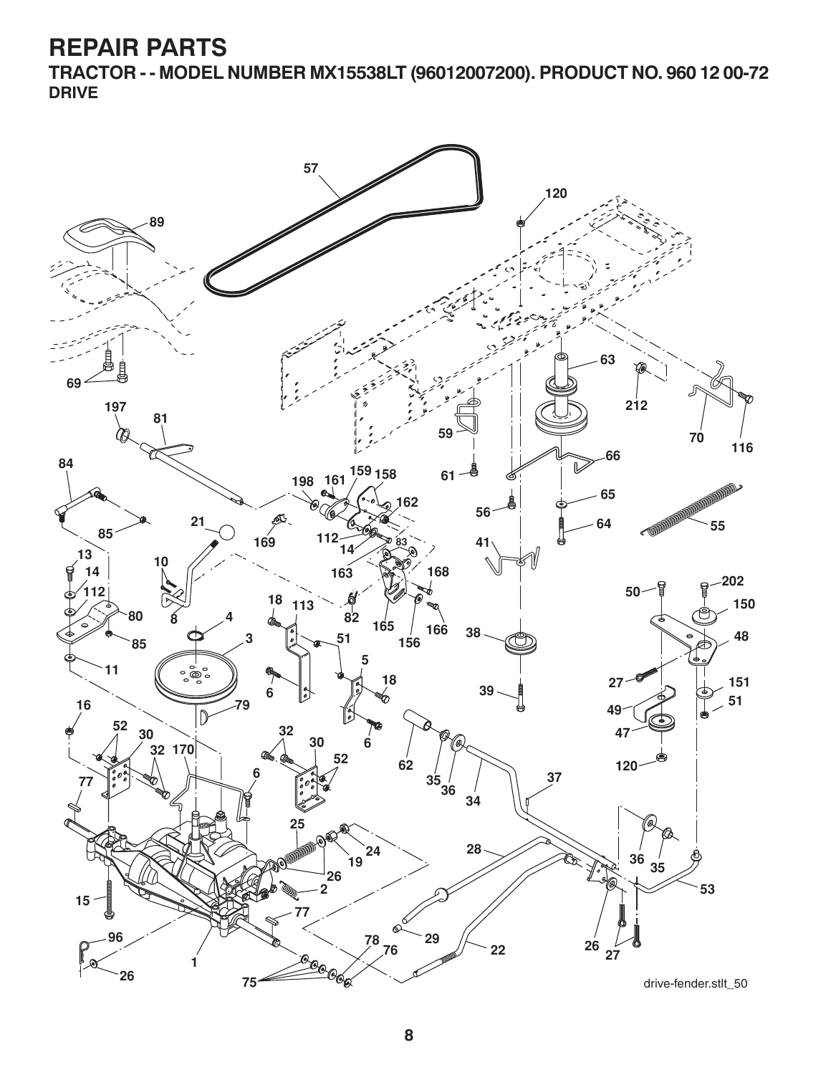**TRACTOR - - MODEL NUMBER MX15538LT (96012007200). PRODUCT NO. 960 12 00-72 DRIVE**

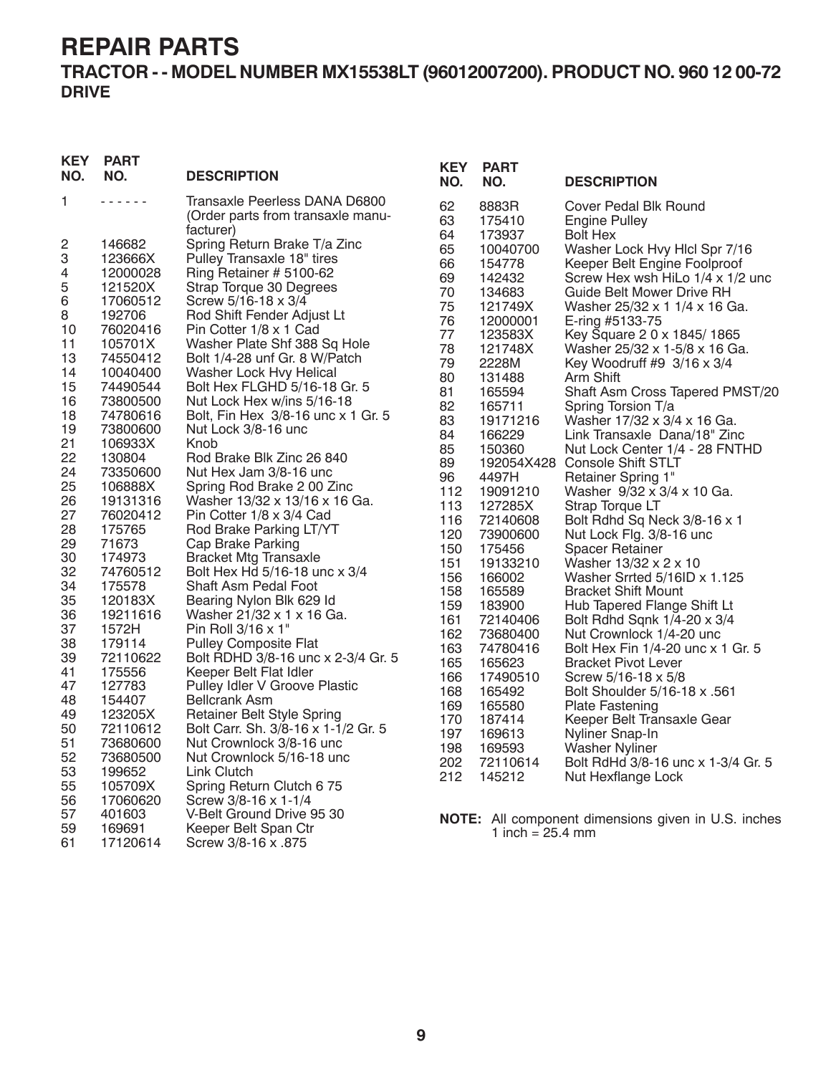### **TRACTOR - - MODEL NUMBER MX15538LT (96012007200). PRODUCT NO. 960 12 00-72 DRIVE**

| <b>KEY</b><br>NO. | <b>PART</b><br>NO. | <b>DESCRIPTION</b>                                                 | <b>KEY</b><br>NO. | <b>PART</b><br>NO.         | <b>DESCRIPTION</b>                                  |
|-------------------|--------------------|--------------------------------------------------------------------|-------------------|----------------------------|-----------------------------------------------------|
| 1                 | 222222             | Transaxle Peerless DANA D6800<br>(Order parts from transaxle manu- | 62<br>63          | 8883R<br>175410            | Cover Pedal Blk Round<br>Engine Pulley              |
|                   |                    | facturer)                                                          | 64                | 173937                     | <b>Bolt Hex</b>                                     |
| 2<br>3            | 146682<br>123666X  | Spring Return Brake T/a Zinc<br>Pulley Transaxle 18" tires         | 65                | 10040700                   | Washer Lock Hvy Hlcl Spr 7/16                       |
| 4                 | 12000028           | Ring Retainer # 5100-62                                            | 66                | 154778                     | Keeper Belt Engine Foolproof                        |
|                   | 121520X            |                                                                    | 69                | 142432                     | Screw Hex wsh HiLo 1/4 x 1/2 unc                    |
| 5                 |                    | Strap Torque 30 Degrees                                            | 70                | 134683                     | Guide Belt Mower Drive RH                           |
| 6<br>8            | 17060512<br>192706 | Screw 5/16-18 x 3/4<br>Rod Shift Fender Adjust Lt                  | 75                | 121749X                    | Washer 25/32 x 1 1/4 x 16 Ga.                       |
| 10                | 76020416           |                                                                    | 76                | 12000001                   | E-ring #5133-75                                     |
| 11                | 105701X            | Pin Cotter 1/8 x 1 Cad<br>Washer Plate Shf 388 Sq Hole             | 77                | 123583X                    | Key Square 2 0 x 1845/1865                          |
| 13                | 74550412           | Bolt 1/4-28 unf Gr. 8 W/Patch                                      | 78                | 121748X                    | Washer 25/32 x 1-5/8 x 16 Ga.                       |
| 14                | 10040400           | Washer Lock Hvy Helical                                            | 79                | 2228M                      | Key Woodruff #9 3/16 x 3/4                          |
| 15                | 74490544           | Bolt Hex FLGHD 5/16-18 Gr. 5                                       | 80                | 131488                     | Arm Shift                                           |
| 16                | 73800500           | Nut Lock Hex w/ins 5/16-18                                         | 81                | 165594                     | Shaft Asm Cross Tapered PMST/20                     |
| 18                | 74780616           | Bolt, Fin Hex 3/8-16 unc x 1 Gr. 5                                 | 82                | 165711                     | Spring Torsion T/a                                  |
| 19                | 73800600           | Nut Lock 3/8-16 unc                                                | 83                | 19171216                   | Washer 17/32 x 3/4 x 16 Ga.                         |
| 21                | 106933X            | Knob                                                               | 84                | 166229                     | Link Transaxle Dana/18" Zinc                        |
| 22                | 130804             | Rod Brake Blk Zinc 26 840                                          | 85                | 150360                     | Nut Lock Center 1/4 - 28 FNTHD                      |
| 24                | 73350600           | Nut Hex Jam 3/8-16 unc                                             | 89                |                            | 192054X428 Console Shift STLT                       |
| 25                | 106888X            | Spring Rod Brake 2 00 Zinc                                         | 96                | 4497H                      | Retainer Spring 1"                                  |
| 26                | 19131316           | Washer 13/32 x 13/16 x 16 Ga.                                      | 112               | 19091210                   | Washer 9/32 x 3/4 x 10 Ga.                          |
| 27                | 76020412           | Pin Cotter 1/8 x 3/4 Cad                                           | 113               | 127285X                    | Strap Torque LT                                     |
| 28                | 175765             | Rod Brake Parking LT/YT                                            | 116               | 72140608                   | Bolt Rdhd Sq Neck 3/8-16 x 1                        |
| 29                | 71673              | Cap Brake Parking                                                  | 120               | 73900600                   | Nut Lock Flg. 3/8-16 unc                            |
| 30                | 174973             | <b>Bracket Mtg Transaxle</b>                                       | 150               | 175456                     | <b>Spacer Retainer</b>                              |
| 32                | 74760512           | Bolt Hex Hd 5/16-18 unc x 3/4                                      | 151               | 19133210                   | Washer 13/32 x 2 x 10                               |
| 34                | 175578             | Shaft Asm Pedal Foot                                               | 156               | 166002                     | Washer Srrted $5/16$ ID x 1.125                     |
| 35                | 120183X            | Bearing Nylon Blk 629 Id                                           | 158               | 165589                     | <b>Bracket Shift Mount</b>                          |
| 36                | 19211616           | Washer 21/32 x 1 x 16 Ga.                                          | 159               | 183900                     | Hub Tapered Flange Shift Lt                         |
| 37                | 1572H              | Pin Roll 3/16 x 1"                                                 | 161               | 72140406                   | Bolt Rdhd Sqnk 1/4-20 x 3/4                         |
| 38                | 179114             | <b>Pulley Composite Flat</b>                                       | 162               | 73680400                   | Nut Crownlock 1/4-20 unc                            |
| 39                | 72110622           | Bolt RDHD 3/8-16 unc x 2-3/4 Gr. 5                                 | 163               | 74780416                   | Bolt Hex Fin 1/4-20 unc x 1 Gr. 5                   |
| 41                | 175556             | Keeper Belt Flat Idler                                             | 165               | 165623                     | <b>Bracket Pivot Lever</b>                          |
| 47                | 127783             | Pulley Idler V Groove Plastic                                      | 166               | 17490510                   | Screw 5/16-18 x 5/8                                 |
| 48                | 154407             | <b>Bellcrank Asm</b>                                               | 168               | 165492                     | Bolt Shoulder 5/16-18 x .561                        |
| 49                | 123205X            | <b>Retainer Belt Style Spring</b>                                  | 169               | 165580                     | <b>Plate Fastening</b>                              |
| 50                | 72110612           | Bolt Carr. Sh. 3/8-16 x 1-1/2 Gr. 5                                | 170               | 187414                     | Keeper Belt Transaxle Gear                          |
| 51                | 73680600           | Nut Crownlock 3/8-16 unc                                           | 197<br>198        | 169613                     | Nyliner Snap-In                                     |
| 52                | 73680500           | Nut Crownlock 5/16-18 unc                                          |                   | 169593                     | <b>Washer Nyliner</b>                               |
| 53                | 199652             | Link Clutch                                                        | 202<br>212        | 72110614                   | Bolt RdHd 3/8-16 unc x 1-3/4 Gr. 5                  |
| 55                | 105709X            | Spring Return Clutch 6 75                                          |                   | 145212                     | Nut Hexflange Lock                                  |
| 56                | 17060620           | Screw 3/8-16 x 1-1/4                                               |                   |                            |                                                     |
| 57                | 401603             | V-Belt Ground Drive 95 30                                          |                   |                            | NOTE: All component dimensions given in U.S. inches |
| 59                | 169691             | Keeper Belt Span Ctr                                               |                   | 1 inch = $25.4 \text{ mm}$ |                                                     |
| 61                | 17120614           | Screw 3/8-16 x .875                                                |                   |                            |                                                     |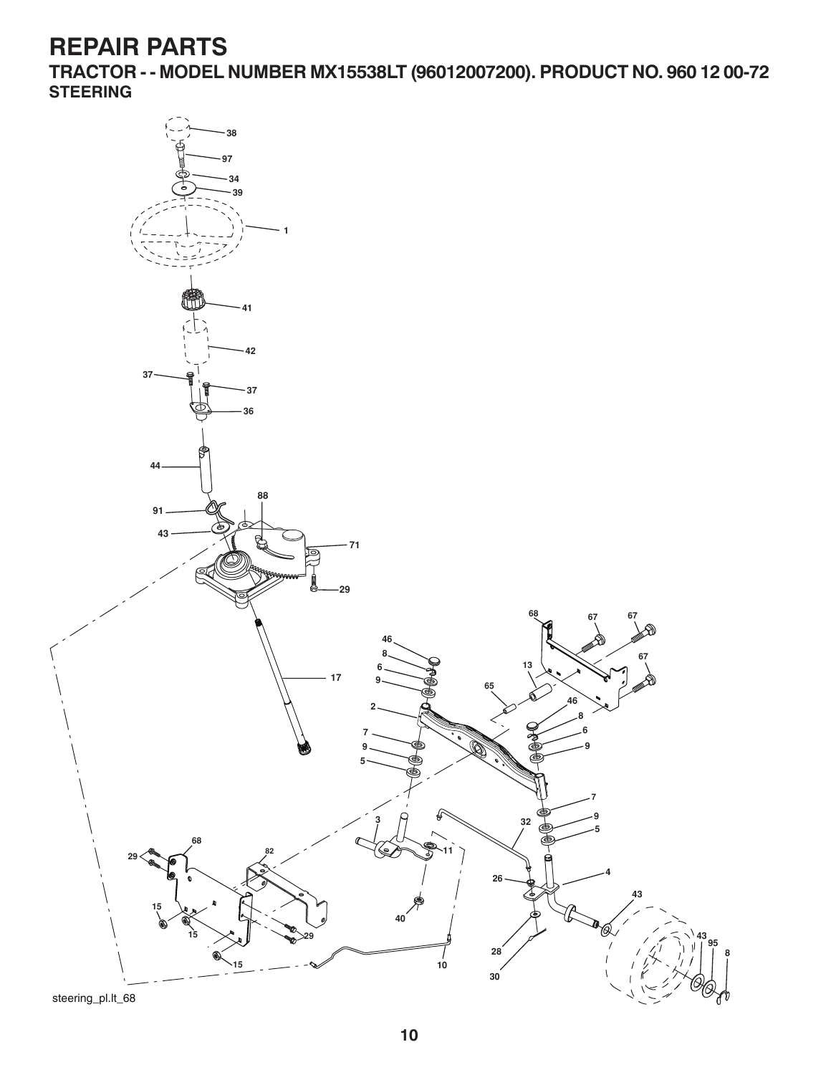**TRACTOR - - MODEL NUMBER MX15538LT (96012007200). PRODUCT NO. 960 12 00-72 STEERING**

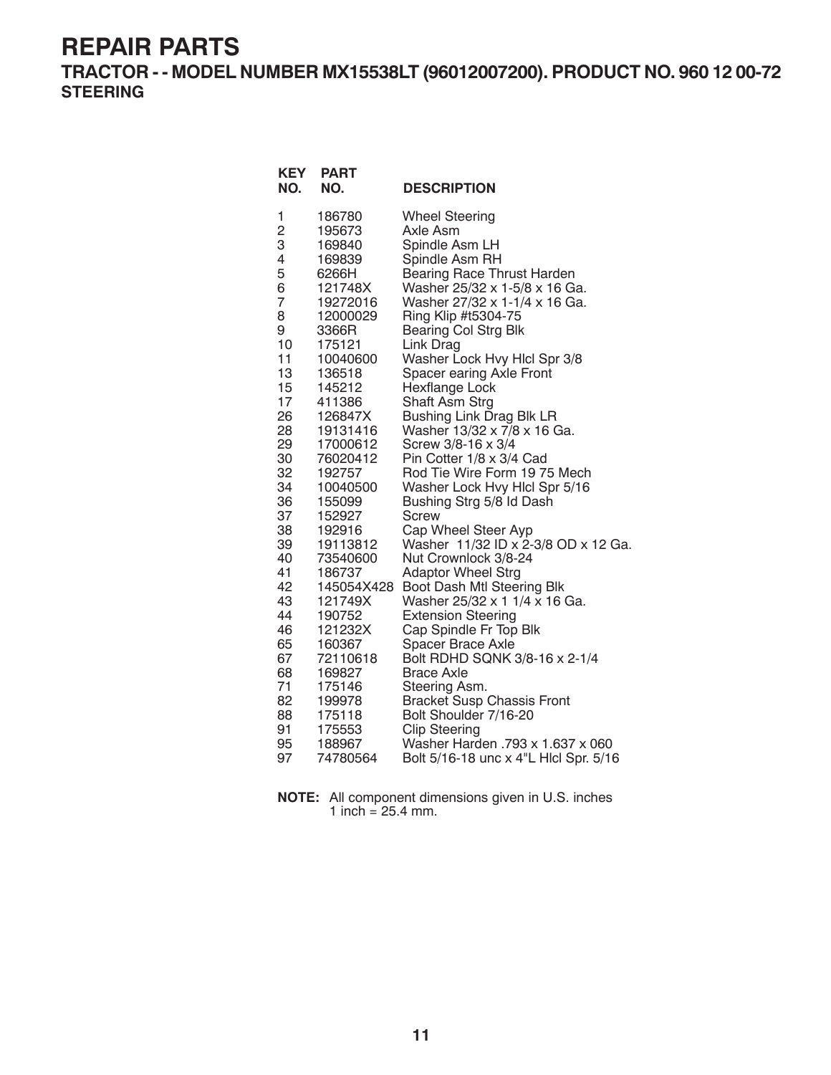**TRACTOR - - MODEL NUMBER MX15538LT (96012007200). PRODUCT NO. 960 12 00-72 STEERING**

| <b>KEY</b><br>NO. | <b>PART</b><br>NO.   | <b>DESCRIPTION</b>                                      |
|-------------------|----------------------|---------------------------------------------------------|
| 1                 | 186780               | <b>Wheel Steering</b>                                   |
| 2                 | 195673               | Axle Asm                                                |
| 3                 | 169840               | Spindle Asm LH                                          |
| 4                 | 169839               | Spindle Asm RH                                          |
| 5                 | 6266H                | <b>Bearing Race Thrust Harden</b>                       |
| 6                 | 121748X              | Washer 25/32 x 1-5/8 x 16 Ga.                           |
| 7                 | 19272016             | Washer 27/32 x 1-1/4 x 16 Ga.                           |
| 8                 | 12000029             | Ring Klip #t5304-75                                     |
| 9<br>10           | 3366R<br>175121      | <b>Bearing Col Strg Blk</b>                             |
| 11                | 10040600             | Link Drag<br>Washer Lock Hvy Hlcl Spr 3/8               |
| 13                | 136518               | Spacer earing Axle Front                                |
| 15                | 145212               | Hexflange Lock                                          |
| 17                | 411386               | Shaft Asm Strg                                          |
| 26                | 126847X              | <b>Bushing Link Drag Blk LR</b>                         |
| 28                | 19131416             | Washer 13/32 x 7/8 x 16 Ga.                             |
| 29                | 17000612             | Screw 3/8-16 x 3/4                                      |
| 30                | 76020412             | Pin Cotter 1/8 x 3/4 Cad                                |
| 32                | 192757               | Rod Tie Wire Form 19 75 Mech                            |
| 34                | 10040500             | Washer Lock Hvy Hicl Spr 5/16                           |
| 36                | 155099               | Bushing Strg 5/8 Id Dash                                |
| 37                | 152927               | Screw                                                   |
| 38                | 192916               | Cap Wheel Steer Ayp                                     |
| 39                | 19113812             | Washer 11/32 ID x 2-3/8 OD x 12 Ga.                     |
| 40<br>41          | 73540600             | Nut Crownlock 3/8-24                                    |
| 42                | 186737<br>145054X428 | <b>Adaptor Wheel Strg</b><br>Boot Dash Mtl Steering Blk |
| 43                | 121749X              | Washer 25/32 x 1 1/4 x 16 Ga.                           |
| 44                | 190752               | <b>Extension Steering</b>                               |
| 46                | 121232X              | Cap Spindle Fr Top Blk                                  |
| 65                | 160367               | Spacer Brace Axle                                       |
| 67                | 72110618             | Bolt RDHD SQNK 3/8-16 x 2-1/4                           |
| 68                | 169827               | <b>Brace Axle</b>                                       |
| 71                | 175146               | Steering Asm.                                           |
| 82                | 199978               | <b>Bracket Susp Chassis Front</b>                       |
| 88                | 175118               | Bolt Shoulder 7/16-20                                   |
| 91                | 175553               | <b>Clip Steering</b>                                    |
| 95                | 188967               | Washer Harden .793 x 1.637 x 060                        |
| 97                | 74780564             | Bolt 5/16-18 unc x 4"L HIcl Spr. 5/16                   |

| <b>NOTE:</b> All component dimensions given in U.S. inches |
|------------------------------------------------------------|
| 1 inch = $25.4$ mm.                                        |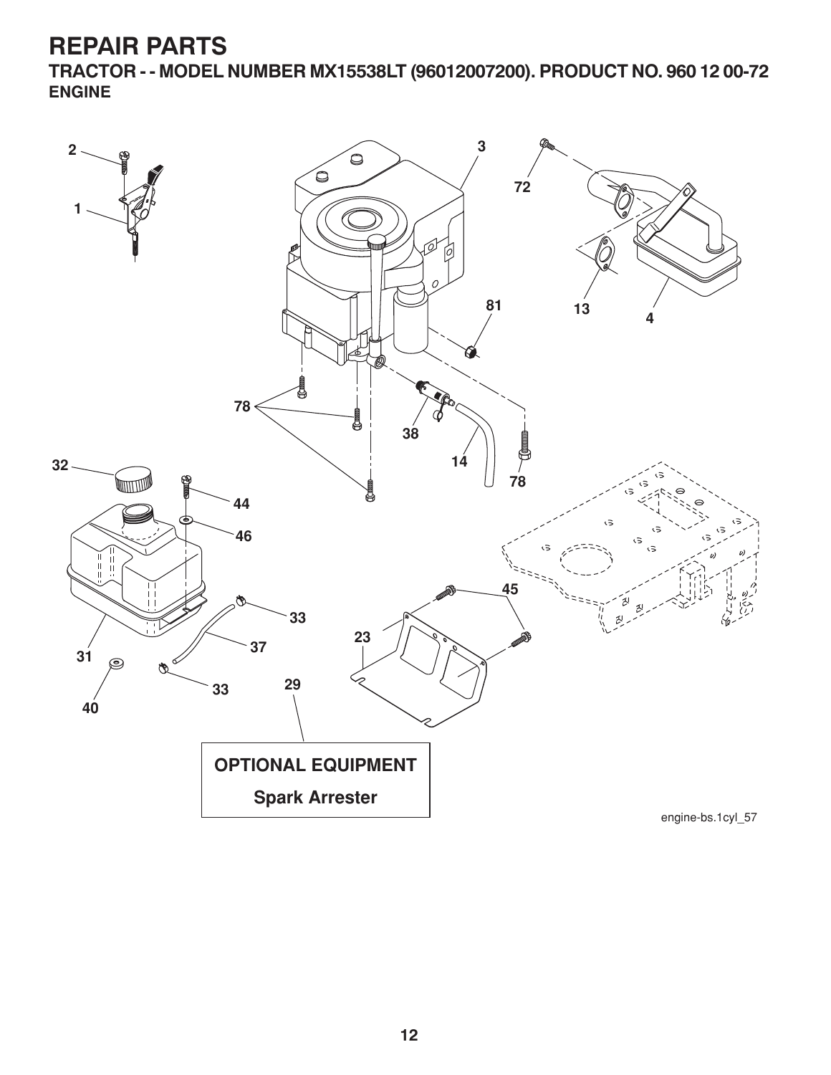**TRACTOR - - MODEL NUMBER MX15538LT (96012007200). PRODUCT NO. 960 12 00-72 ENGINE**

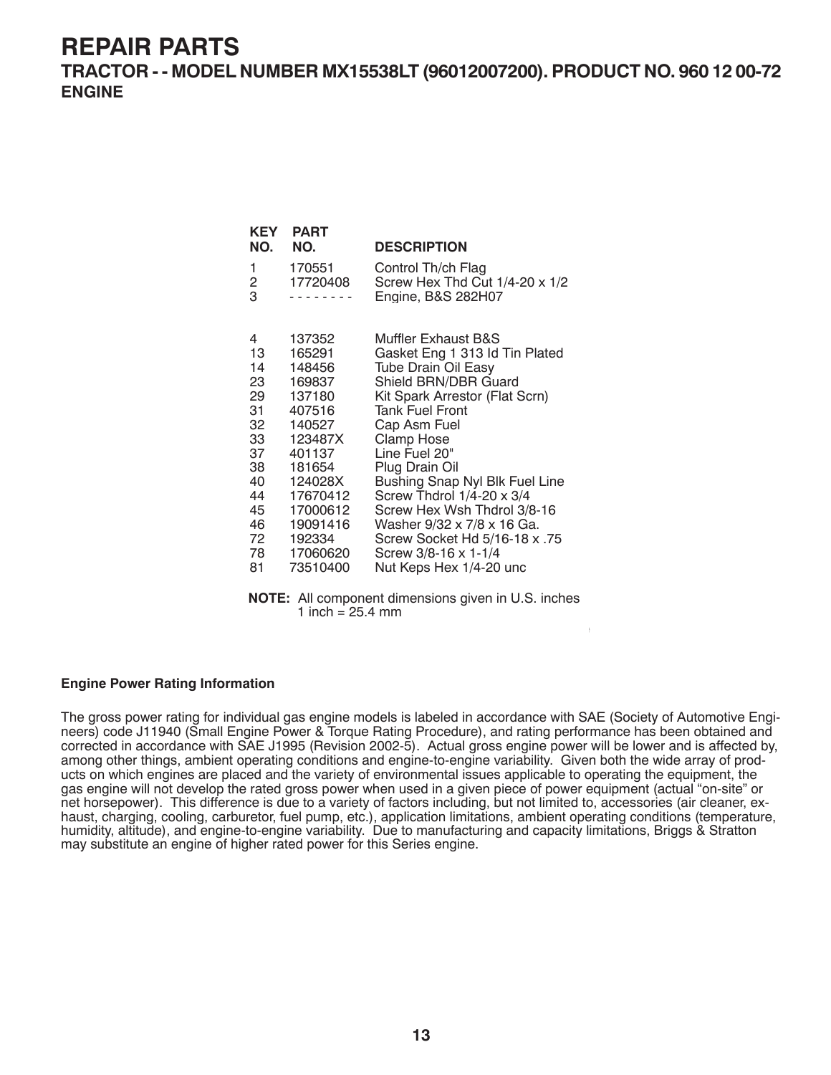**TRACTOR - - MODEL NUMBER MX15538LT (96012007200). PRODUCT NO. 960 12 00-72 ENGINE**

| KEY<br>NO.                                                          | <b>PART</b><br>NO.                                                                                                       | <b>DESCRIPTION</b>                                                                                                                                                                                                                                                                                                  |
|---------------------------------------------------------------------|--------------------------------------------------------------------------------------------------------------------------|---------------------------------------------------------------------------------------------------------------------------------------------------------------------------------------------------------------------------------------------------------------------------------------------------------------------|
| 1<br>2<br>3                                                         | 170551<br>17720408                                                                                                       | Control Th/ch Flag<br>Screw Hex Thd Cut 1/4-20 x 1/2<br>Engine, B&S 282H07                                                                                                                                                                                                                                          |
| 4<br>13<br>14<br>23<br>29<br>31<br>32<br>33<br>37<br>38<br>40<br>44 | 137352<br>165291<br>148456<br>169837<br>137180<br>407516<br>140527<br>123487X<br>401137<br>181654<br>124028X<br>17670412 | Muffler Exhaust B&S<br>Gasket Eng 1 313 ld Tin Plated<br><b>Tube Drain Oil Easy</b><br>Shield BRN/DBR Guard<br>Kit Spark Arrestor (Flat Scrn)<br><b>Tank Fuel Front</b><br>Cap Asm Fuel<br><b>Clamp Hose</b><br>Line Fuel 20"<br>Plug Drain Oil<br>Bushing Snap Nyl Blk Fuel Line<br>Screw Thdrol $1/4$ -20 x $3/4$ |
| 45<br>46                                                            | 17000612<br>19091416                                                                                                     | Screw Hex Wsh Thdrol 3/8-16<br>Washer 9/32 x 7/8 x 16 Ga.                                                                                                                                                                                                                                                           |
| 72                                                                  | 192334                                                                                                                   | 57. Screw Socket Hd 5/16-18 x                                                                                                                                                                                                                                                                                       |
| 78                                                                  | 17060620                                                                                                                 | Screw 3/8-16 x 1-1/4                                                                                                                                                                                                                                                                                                |
| 81                                                                  | 73510400                                                                                                                 | Nut Keps Hex 1/4-20 unc                                                                                                                                                                                                                                                                                             |

**NOTE:** All component dimensions given in U.S. inches 1 inch =  $25.4 \, \text{mm}$ 

For engine service and replacement parts, call the toll free

#### **Engine Power Rating Information**

The gross power rating for individual gas engine models is labeled in accordance with SAE (Society of Automotive Engineers) code J11940 (Small Engine Power & Torque Rating Procedure), and rating performance has been obtained and corrected in accordance with SAE J1995 (Revision 2002-5). Actual gross engine power will be lower and is affected by, among other things, ambient operating conditions and engine-to-engine variability. Given both the wide array of products on which engines are placed and the variety of environmental issues applicable to operating the equipment, the gas engine will not develop the rated gross power when used in a given piece of power equipment (actual "on-site" or net horsepower). This difference is due to a variety of factors including, but not limited to, accessories (air cleaner, exhaust, charging, cooling, carburetor, fuel pump, etc.), application limitations, ambient operating conditions (temperature, humidity, altitude), and engine-to-engine variability. Due to manufacturing and capacity limitations, Briggs & Stratton may substitute an engine of higher rated power for this Series engine.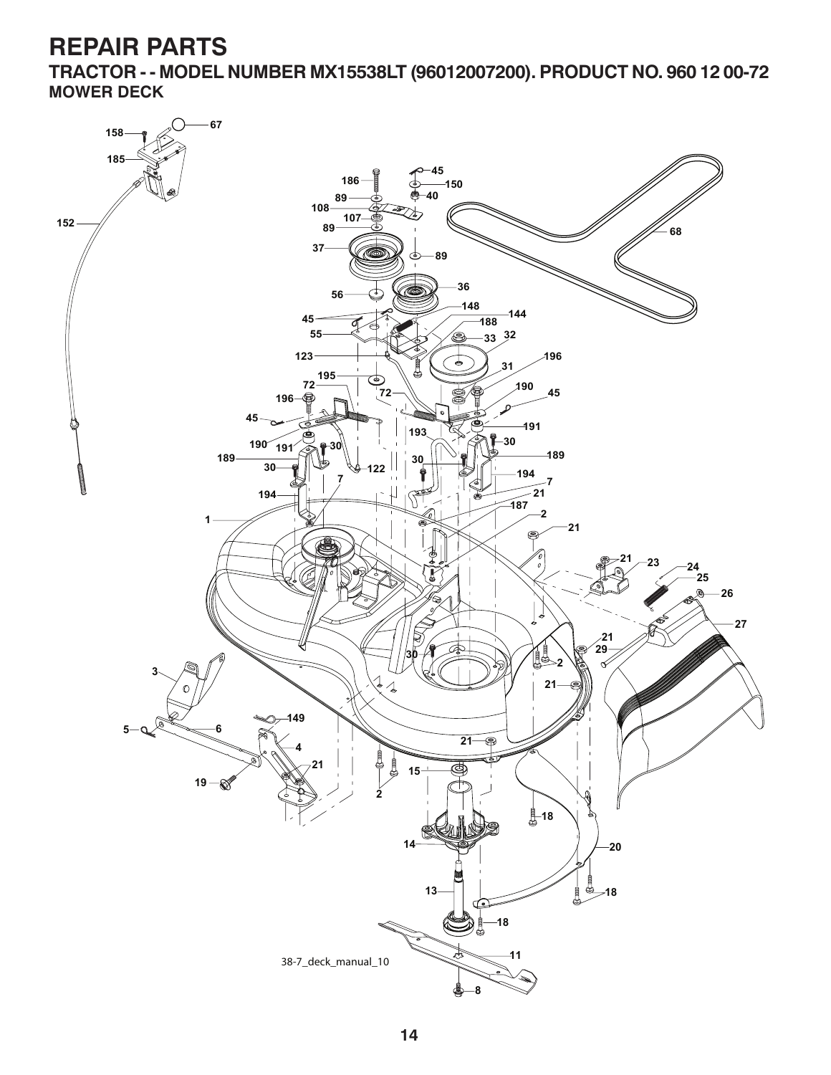**TRACTOR - - MODEL NUMBER MX15538LT (96012007200). PRODUCT NO. 960 12 00-72 MOWER DECK**

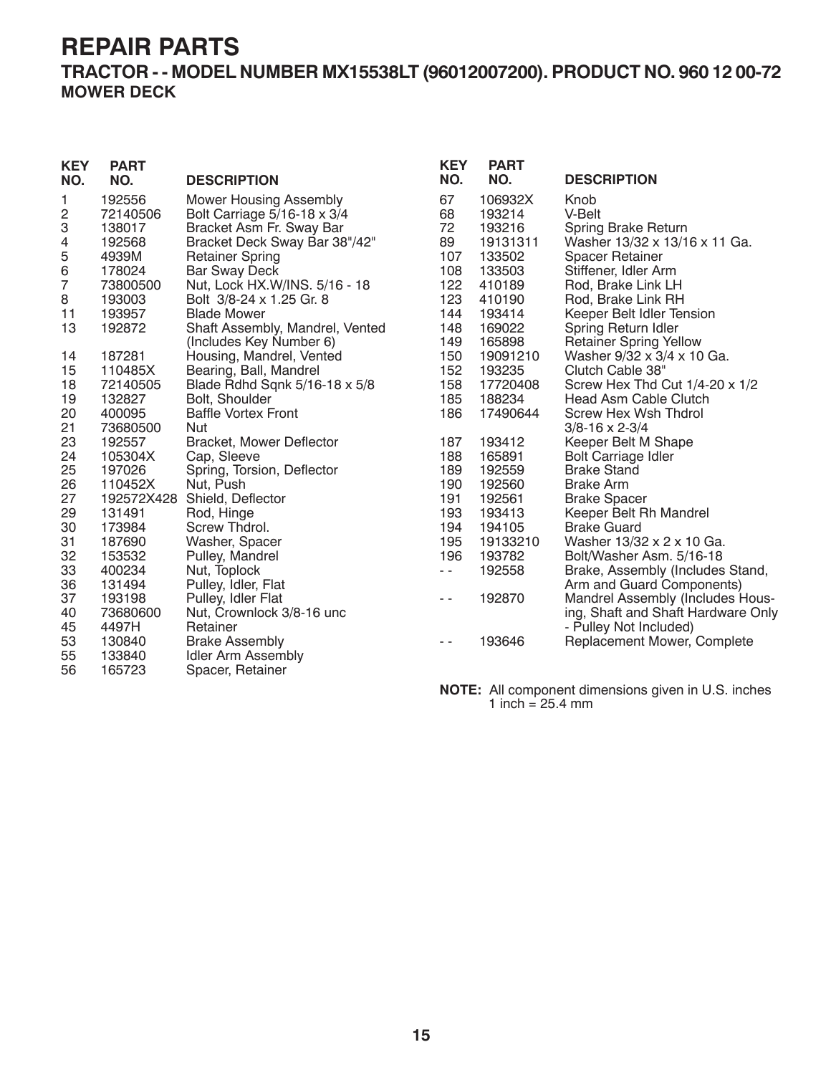### **TRACTOR - - MODEL NUMBER MX15538LT (96012007200). PRODUCT NO. 960 12 00-72 MOWER DECK**

| <b>KEY</b><br>NO. | <b>PART</b><br>NO. | <b>DESCRIPTION</b>              | <b>KEY</b><br>NO. | <b>PART</b><br>NO. | <b>DESCRIPTION</b>                  |
|-------------------|--------------------|---------------------------------|-------------------|--------------------|-------------------------------------|
| 1                 | 192556             | <b>Mower Housing Assembly</b>   | 67                | 106932X            | Knob                                |
| 2                 | 72140506           | Bolt Carriage 5/16-18 x 3/4     | 68                | 193214             | V-Belt                              |
| 3                 | 138017             | Bracket Asm Fr. Sway Bar        | 72                | 193216             | <b>Spring Brake Return</b>          |
| 4                 | 192568             | Bracket Deck Sway Bar 38"/42"   | 89                | 19131311           | Washer 13/32 x 13/16 x 11 Ga.       |
| 5                 | 4939M              | <b>Retainer Spring</b>          | 107               | 133502             | Spacer Retainer                     |
| 6                 | 178024             | <b>Bar Sway Deck</b>            | 108               | 133503             | Stiffener, Idler Arm                |
| 7                 | 73800500           | Nut, Lock HX.W/INS. 5/16 - 18   | 122               | 410189             | Rod, Brake Link LH                  |
| 8                 | 193003             | Bolt 3/8-24 x 1.25 Gr. 8        | 123               | 410190             | Rod, Brake Link RH                  |
| 11                | 193957             | <b>Blade Mower</b>              | 144               | 193414             | Keeper Belt Idler Tension           |
| 13                | 192872             | Shaft Assembly, Mandrel, Vented | 148               | 169022             | Spring Return Idler                 |
|                   |                    | (Includes Key Number 6)         | 149               | 165898             | <b>Retainer Spring Yellow</b>       |
| 14                | 187281             | Housing, Mandrel, Vented        | 150               | 19091210           | Washer 9/32 x 3/4 x 10 Ga.          |
| 15                | 110485X            | Bearing, Ball, Mandrel          | 152               | 193235             | Clutch Cable 38"                    |
| 18                | 72140505           | Blade Rdhd Sqnk 5/16-18 x 5/8   | 158               | 17720408           | Screw Hex Thd Cut $1/4$ -20 x $1/2$ |
| 19                | 132827             | Bolt, Shoulder                  | 185               | 188234             | <b>Head Asm Cable Clutch</b>        |
| 20                | 400095             | <b>Baffle Vortex Front</b>      | 186               | 17490644           | Screw Hex Wsh Thdrol                |
| 21                | 73680500           | <b>Nut</b>                      |                   |                    | $3/8 - 16 \times 2 - 3/4$           |
| 23                | 192557             | <b>Bracket, Mower Deflector</b> | 187               | 193412             | Keeper Belt M Shape                 |
| 24                | 105304X            | Cap, Sleeve                     | 188               | 165891             | <b>Bolt Carriage Idler</b>          |
| 25                | 197026             | Spring, Torsion, Deflector      | 189               | 192559             | <b>Brake Stand</b>                  |
| 26                | 110452X            | Nut, Push                       | 190               | 192560             | <b>Brake Arm</b>                    |
| 27                | 192572X428         | Shield, Deflector               | 191               | 192561             | <b>Brake Spacer</b>                 |
| 29                | 131491             | Rod, Hinge                      | 193               | 193413             | Keeper Belt Rh Mandrel              |
| 30                | 173984             | Screw Thdrol.                   | 194               | 194105             | <b>Brake Guard</b>                  |
| 31                | 187690             | Washer, Spacer                  | 195               | 19133210           | Washer 13/32 x 2 x 10 Ga.           |
| 32                | 153532             | Pulley, Mandrel                 | 196               | 193782             | Bolt/Washer Asm. 5/16-18            |
| 33                | 400234             | Nut, Toplock                    | $\sim$ $\sim$     | 192558             | Brake, Assembly (Includes Stand,    |
| 36                | 131494             | Pulley, Idler, Flat             |                   |                    | Arm and Guard Components)           |
| 37                | 193198             | Pulley, Idler Flat              | $\frac{1}{2}$     | 192870             | Mandrel Assembly (Includes Hous-    |
| 40                | 73680600           | Nut, Crownlock 3/8-16 unc       |                   |                    | ing, Shaft and Shaft Hardware Only  |
| 45                | 4497H              | Retainer                        |                   |                    | - Pulley Not Included)              |
| 53                | 130840             | <b>Brake Assembly</b>           | $\frac{1}{2}$     | 193646             | Replacement Mower, Complete         |
| 55                | 133840             | <b>Idler Arm Assembly</b>       |                   |                    |                                     |
| 56                | 165723             | Spacer, Retainer                |                   |                    |                                     |

**NOTE:** All component dimensions given in U.S. inches 1 inch = 25.4 mm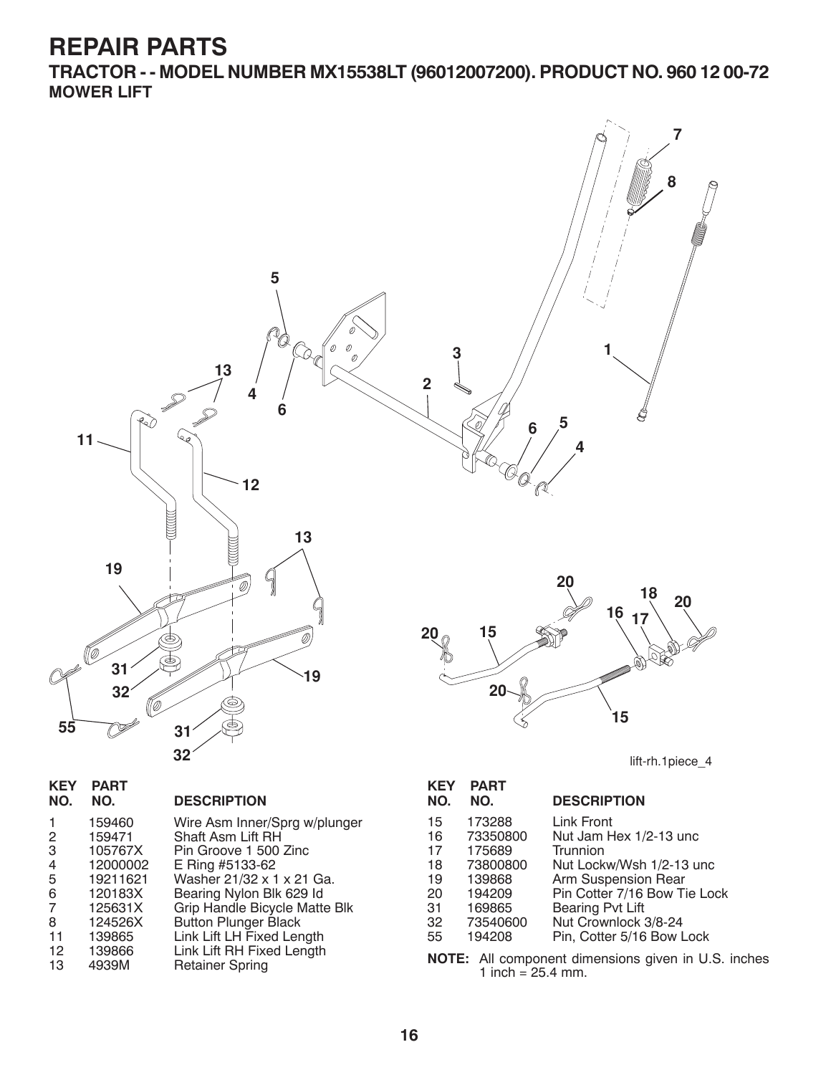**TRACTOR - - MODEL NUMBER MX15538LT (96012007200). PRODUCT NO. 960 12 00-72 MOWER LIFT**



| 17 L I<br>NO. | <u>гапі</u><br>NO. | <b>DESCRIPTION</b>            |
|---------------|--------------------|-------------------------------|
| 1             | 159460             | Wire Asm Inner/Sprg w/plunger |
| 2             | 159471             | Shaft Asm Lift RH             |
| 3             | 105767X            | Pin Groove 1 500 Zinc         |
| 4             | 12000002           | E Ring #5133-62               |
| 5             | 19211621           | Washer 21/32 x 1 x 21 Ga.     |
| 6             | 120183X            | Bearing Nylon Blk 629 Id      |
| 7             | 125631X            | Grip Handle Bicycle Matte Blk |
| 8             | 124526X            | <b>Button Plunger Black</b>   |
| 11            | 139865             | Link Lift LH Fixed Length     |
| 12            | 139866             | Link Lift RH Fixed Length     |
| 13            | 4939M              | <b>Retainer Spring</b>        |
|               |                    |                               |

**KEY PART** 

| <b>KEY</b> | <b>PART</b> |                              |
|------------|-------------|------------------------------|
| NO.        | NO.         | <b>DESCRIPTION</b>           |
| 15         | 173288      | Link Front                   |
| 16         | 73350800    | Nut Jam Hex 1/2-13 unc       |
| 17         | 175689      | Trunnion                     |
| 18         | 73800800    | Nut Lockw/Wsh 1/2-13 unc     |
| 19         | 139868      | Arm Suspension Rear          |
| 20         | 194209      | Pin Cotter 7/16 Bow Tie Lock |
| 31         | 169865      | Bearing Pvt Lift             |
| 32         | 73540600    | Nut Crownlock 3/8-24         |
| 55         | 194208      | Pin, Cotter 5/16 Bow Lock    |

**NOTE:** All component dimensions given in U.S. inches 1 inch =  $25.4$  mm.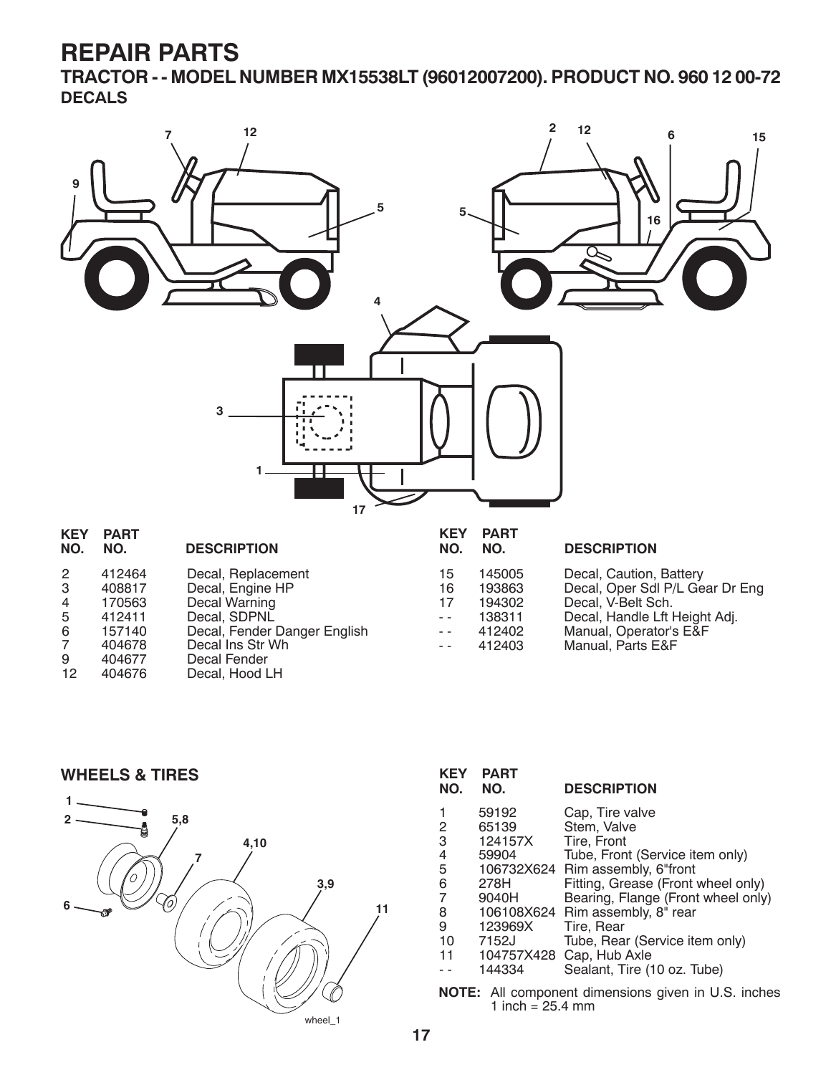**TRACTOR - - MODEL NUMBER MX15538LT (96012007200). PRODUCT NO. 960 12 00-72 DECALS**



| Decal, Engine HP                            |  |
|---------------------------------------------|--|
| Decal Warning<br>170563<br>4                |  |
| Decal, SDPNL<br>412411<br>5                 |  |
| Decal, Fender Danger English<br>157140<br>6 |  |
| Decal Ins Str Wh<br>404678<br>7             |  |
| 404677<br>Decal Fender<br>9                 |  |
| 404676<br>12<br>Decal, Hood LH              |  |

| IV. | IV.    |
|-----|--------|
| 15  | 145005 |
| 16  | 193863 |
| 17  | 194302 |
|     | 138311 |
|     | 412402 |
|     | 412403 |

| 15   | 145005 | Decal, Caution, Battery         |
|------|--------|---------------------------------|
| 16   | 193863 | Decal, Oper Sdl P/L Gear Dr Eng |
| 17   | 194302 | Decal, V-Belt Sch.              |
| $-$  | 138311 | Decal, Handle Lft Height Adj.   |
| $-$  | 412402 | Manual, Operator's E&F          |
| $ -$ | 412403 | Manual, Parts E&F               |

#### **WHEELS & TIRES**



| <b>KEY</b><br>NO.                                    | <b>PART</b><br>NO. | <b>DESCRIPTION</b>                 |  |  |
|------------------------------------------------------|--------------------|------------------------------------|--|--|
| 1                                                    | 59192              | Cap, Tire valve                    |  |  |
| 2                                                    | 65139              | Stem, Valve                        |  |  |
| 3                                                    | 124157X            | Tire, Front                        |  |  |
| 4                                                    | 59904              | Tube, Front (Service item only)    |  |  |
| 5                                                    |                    | 106732X624 Rim assembly, 6"front   |  |  |
| 6                                                    | 278H               | Fitting, Grease (Front wheel only) |  |  |
| $\overline{7}$                                       | 9040H              | Bearing, Flange (Front wheel only) |  |  |
| 8                                                    |                    | 106108X624 Rim assembly, 8" rear   |  |  |
| 9                                                    | 123969X            | Tire, Rear                         |  |  |
| 10                                                   | 7152J              | Tube, Rear (Service item only)     |  |  |
| 11                                                   | 104757X428         | Cap, Hub Axle                      |  |  |
|                                                      | 144334             | Sealant, Tire (10 oz. Tube)        |  |  |
| All component dimensions given in LLS inche<br>NOTF∙ |                    |                                    |  |  |

dimensions given in U.S. inches  $\frac{1}{1}$  inch = 25.4 mm